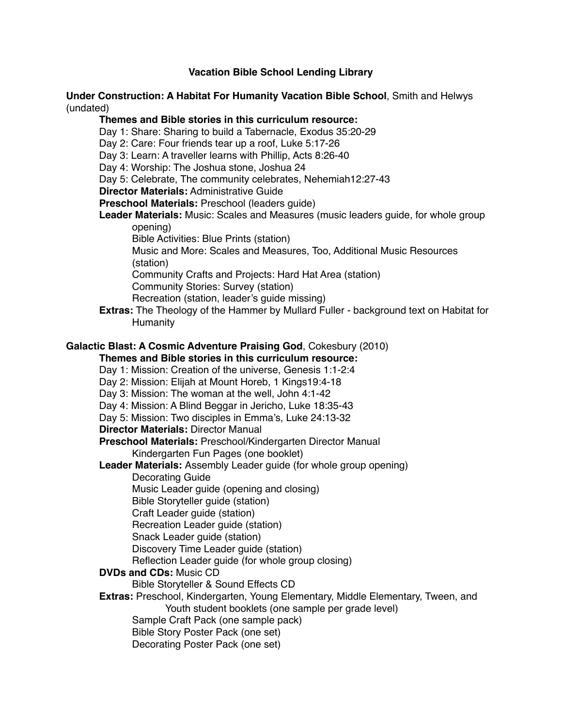# **Vacation Bible School Lending Library**

## **Under Construction: A Habitat For Humanity Vacation Bible School**, Smith and Helwys (undated)

## **Themes and Bible stories in this curriculum resource:**

- Day 1: Share: Sharing to build a Tabernacle, Exodus 35:20-29
- Day 2: Care: Four friends tear up a roof, Luke 5:17-26
- Day 3: Learn: A traveller learns with Phillip, Acts 8:26-40
- Day 4: Worship: The Joshua stone, Joshua 24
- Day 5: Celebrate, The community celebrates, Nehemiah12:27-43
- **Director Materials:** Administrative Guide
- **Preschool Materials:** Preschool (leaders guide)
- **Leader Materials:** Music: Scales and Measures (music leaders guide, for whole group opening)
	- Bible Activities: Blue Prints (station)
	- Music and More: Scales and Measures, Too, Additional Music Resources (station)
	- Community Crafts and Projects: Hard Hat Area (station)
	- Community Stories: Survey (station)
		- Recreation (station, leader's guide missing)
- **Extras:** The Theology of the Hammer by Mullard Fuller background text on Habitat for **Humanity**

# **Galactic Blast: A Cosmic Adventure Praising God**, Cokesbury (2010)

## **Themes and Bible stories in this curriculum resource:**

- Day 1: Mission: Creation of the universe, Genesis 1:1-2:4
- Day 2: Mission: Elijah at Mount Horeb, 1 Kings19:4-18
- Day 3: Mission: The woman at the well, John 4:1-42
- Day 4: Mission: A Blind Beggar in Jericho, Luke 18:35-43
- Day 5: Mission: Two disciples in Emma's, Luke 24:13-32
- **Director Materials:** Director Manual
- **Preschool Materials:** Preschool/Kindergarten Director Manual Kindergarten Fun Pages (one booklet)
- **Leader Materials:** Assembly Leader guide (for whole group opening)
	- Decorating Guide
		- Music Leader guide (opening and closing)
	- Bible Storyteller guide (station)
	- Craft Leader guide (station)
	- Recreation Leader guide (station)
	- Snack Leader guide (station)
	- Discovery Time Leader guide (station)
	- Reflection Leader guide (for whole group closing)
- **DVDs and CDs:** Music CD
	- Bible Storyteller & Sound Effects CD
- **Extras:** Preschool, Kindergarten, Young Elementary, Middle Elementary, Tween, and Youth student booklets (one sample per grade level)
	- Sample Craft Pack (one sample pack)
	- Bible Story Poster Pack (one set)
	- Decorating Poster Pack (one set)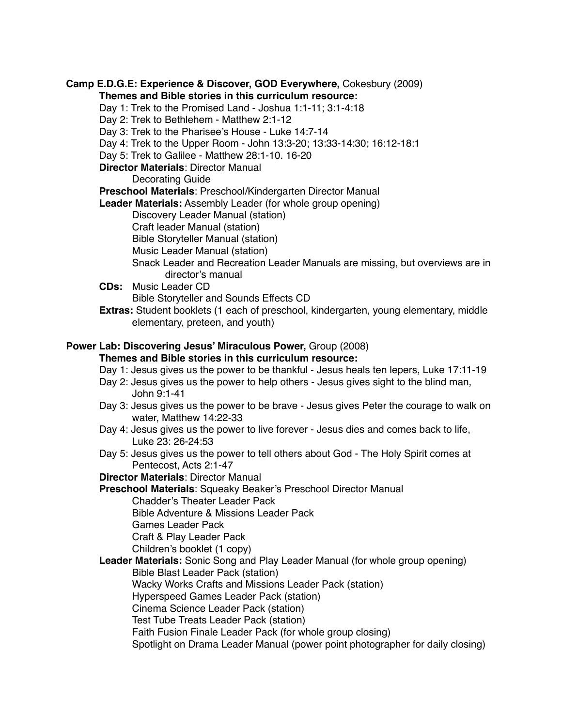**Camp E.D.G.E: Experience & Discover, GOD Everywhere,** Cokesbury (2009) **Themes and Bible stories in this curriculum resource:**

- Day 1: Trek to the Promised Land Joshua 1:1-11; 3:1-4:18
- Day 2: Trek to Bethlehem Matthew 2:1-12
- Day 3: Trek to the Pharisee's House Luke 14:7-14
- Day 4: Trek to the Upper Room John 13:3-20; 13:33-14:30; 16:12-18:1
- Day 5: Trek to Galilee Matthew 28:1-10. 16-20
- **Director Materials**: Director Manual

Decorating Guide

**Preschool Materials**: Preschool/Kindergarten Director Manual

**Leader Materials:** Assembly Leader (for whole group opening)

Discovery Leader Manual (station)

Craft leader Manual (station)

Bible Storyteller Manual (station)

Music Leader Manual (station)

- Snack Leader and Recreation Leader Manuals are missing, but overviews are in director's manual
- **CDs:** Music Leader CD

Bible Storyteller and Sounds Effects CD

**Extras:** Student booklets (1 each of preschool, kindergarten, young elementary, middle elementary, preteen, and youth)

# **Power Lab: Discovering Jesus' Miraculous Power,** Group (2008)

**Themes and Bible stories in this curriculum resource:**

- Day 1: Jesus gives us the power to be thankful Jesus heals ten lepers, Luke 17:11-19
- Day 2: Jesus gives us the power to help others Jesus gives sight to the blind man, John 9:1-41
- Day 3: Jesus gives us the power to be brave Jesus gives Peter the courage to walk on water, Matthew 14:22-33
- Day 4: Jesus gives us the power to live forever Jesus dies and comes back to life, Luke 23: 26-24:53
- Day 5: Jesus gives us the power to tell others about God The Holy Spirit comes at Pentecost, Acts 2:1-47

# **Director Materials**: Director Manual

**Preschool Materials**: Squeaky Beaker's Preschool Director Manual

Chadder's Theater Leader Pack

Bible Adventure & Missions Leader Pack

Games Leader Pack

Craft & Play Leader Pack

Children's booklet (1 copy)

**Leader Materials:** Sonic Song and Play Leader Manual (for whole group opening)

Bible Blast Leader Pack (station)

Wacky Works Crafts and Missions Leader Pack (station)

Hyperspeed Games Leader Pack (station)

Cinema Science Leader Pack (station)

Test Tube Treats Leader Pack (station)

Faith Fusion Finale Leader Pack (for whole group closing)

Spotlight on Drama Leader Manual (power point photographer for daily closing)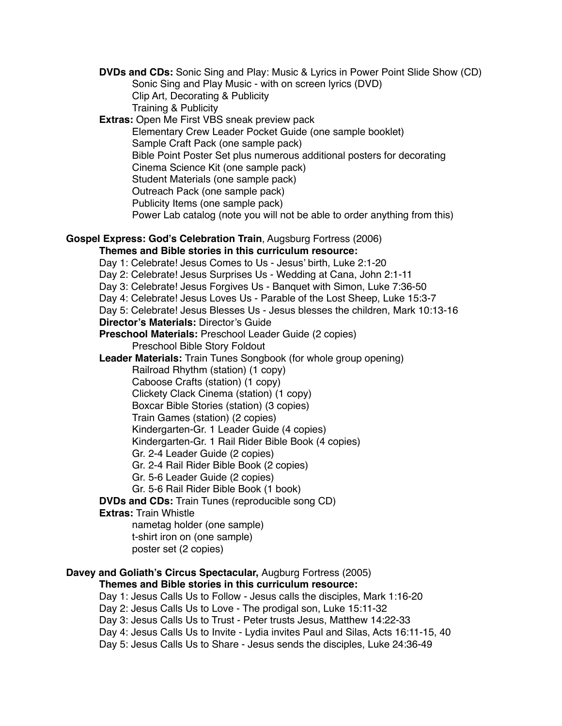**DVDs and CDs:** Sonic Sing and Play: Music & Lyrics in Power Point Slide Show (CD) Sonic Sing and Play Music - with on screen lyrics (DVD) Clip Art, Decorating & Publicity Training & Publicity **Extras:** Open Me First VBS sneak preview pack Elementary Crew Leader Pocket Guide (one sample booklet) Sample Craft Pack (one sample pack) Bible Point Poster Set plus numerous additional posters for decorating Cinema Science Kit (one sample pack) Student Materials (one sample pack) Outreach Pack (one sample pack) Publicity Items (one sample pack) Power Lab catalog (note you will not be able to order anything from this) **Gospel Express: God's Celebration Train**, Augsburg Fortress (2006) **Themes and Bible stories in this curriculum resource:** Day 1: Celebrate! Jesus Comes to Us - Jesus' birth, Luke 2:1-20 Day 2: Celebrate! Jesus Surprises Us - Wedding at Cana, John 2:1-11 Day 3: Celebrate! Jesus Forgives Us - Banquet with Simon, Luke 7:36-50 Day 4: Celebrate! Jesus Loves Us - Parable of the Lost Sheep, Luke 15:3-7 Day 5: Celebrate! Jesus Blesses Us - Jesus blesses the children, Mark 10:13-16 **Director's Materials:** Director's Guide **Preschool Materials:** Preschool Leader Guide (2 copies) Preschool Bible Story Foldout **Leader Materials:** Train Tunes Songbook (for whole group opening) Railroad Rhythm (station) (1 copy) Caboose Crafts (station) (1 copy) Clickety Clack Cinema (station) (1 copy) Boxcar Bible Stories (station) (3 copies) Train Games (station) (2 copies) Kindergarten-Gr. 1 Leader Guide (4 copies) Kindergarten-Gr. 1 Rail Rider Bible Book (4 copies) Gr. 2-4 Leader Guide (2 copies) Gr. 2-4 Rail Rider Bible Book (2 copies) Gr. 5-6 Leader Guide (2 copies) Gr. 5-6 Rail Rider Bible Book (1 book) **DVDs and CDs:** Train Tunes (reproducible song CD) **Extras:** Train Whistle nametag holder (one sample) t-shirt iron on (one sample) poster set (2 copies) **Davey and Goliath's Circus Spectacular,** Augburg Fortress (2005) **Themes and Bible stories in this curriculum resource:** Day 1: Jesus Calls Us to Follow - Jesus calls the disciples, Mark 1:16-20 Day 2: Jesus Calls Us to Love - The prodigal son, Luke 15:11-32 Day 3: Jesus Calls Us to Trust - Peter trusts Jesus, Matthew 14:22-33 Day 4: Jesus Calls Us to Invite - Lydia invites Paul and Silas, Acts 16:11-15, 40 Day 5: Jesus Calls Us to Share - Jesus sends the disciples, Luke 24:36-49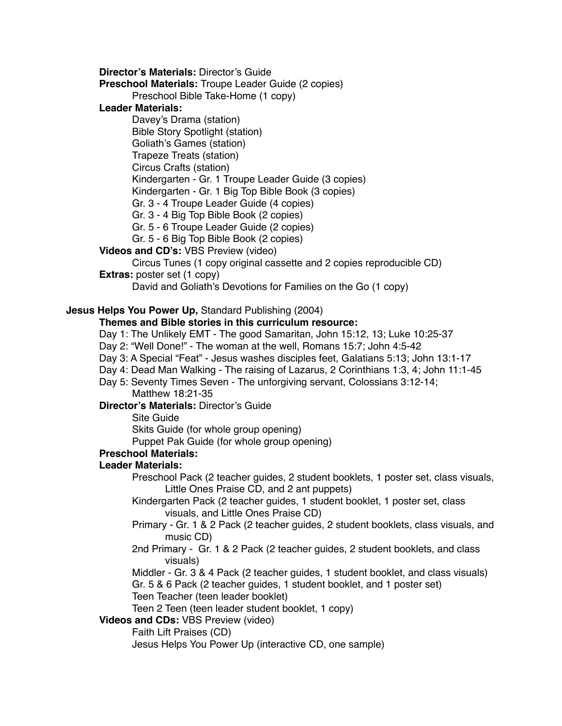**Director's Materials:** Director's Guide

**Preschool Materials:** Troupe Leader Guide (2 copies)

Preschool Bible Take-Home (1 copy)

**Leader Materials:**

Davey's Drama (station) Bible Story Spotlight (station) Goliath's Games (station) Trapeze Treats (station) Circus Crafts (station) Kindergarten - Gr. 1 Troupe Leader Guide (3 copies) Kindergarten - Gr. 1 Big Top Bible Book (3 copies) Gr. 3 - 4 Troupe Leader Guide (4 copies) Gr. 3 - 4 Big Top Bible Book (2 copies)

Gr. 5 - 6 Troupe Leader Guide (2 copies)

Gr. 5 - 6 Big Top Bible Book (2 copies)

## **Videos and CD's:** VBS Preview (video)

Circus Tunes (1 copy original cassette and 2 copies reproducible CD)

**Extras:** poster set (1 copy)

David and Goliath's Devotions for Families on the Go (1 copy)

## **Jesus Helps You Power Up,** Standard Publishing (2004)

#### **Themes and Bible stories in this curriculum resource:**

Day 1: The Unlikely EMT - The good Samaritan, John 15:12, 13; Luke 10:25-37

Day 2: "Well Done!" - The woman at the well, Romans 15:7; John 4:5-42

Day 3: A Special "Feat" - Jesus washes disciples feet, Galatians 5:13; John 13:1-17

- Day 4: Dead Man Walking The raising of Lazarus, 2 Corinthians 1:3, 4; John 11:1-45
- Day 5: Seventy Times Seven The unforgiving servant, Colossians 3:12-14; Matthew 18:21-35

**Director's Materials:** Director's Guide

Site Guide

Skits Guide (for whole group opening)

Puppet Pak Guide (for whole group opening)

**Preschool Materials:**

#### **Leader Materials:**

Preschool Pack (2 teacher guides, 2 student booklets, 1 poster set, class visuals, Little Ones Praise CD, and 2 ant puppets)

Kindergarten Pack (2 teacher guides, 1 student booklet, 1 poster set, class visuals, and Little Ones Praise CD)

- Primary Gr. 1 & 2 Pack (2 teacher guides, 2 student booklets, class visuals, and music CD)
- 2nd Primary Gr. 1 & 2 Pack (2 teacher guides, 2 student booklets, and class visuals)

Middler - Gr. 3 & 4 Pack (2 teacher guides, 1 student booklet, and class visuals)

Gr. 5 & 6 Pack (2 teacher guides, 1 student booklet, and 1 poster set)

Teen Teacher (teen leader booklet)

Teen 2 Teen (teen leader student booklet, 1 copy)

#### **Videos and CDs:** VBS Preview (video)

Faith Lift Praises (CD)

Jesus Helps You Power Up (interactive CD, one sample)